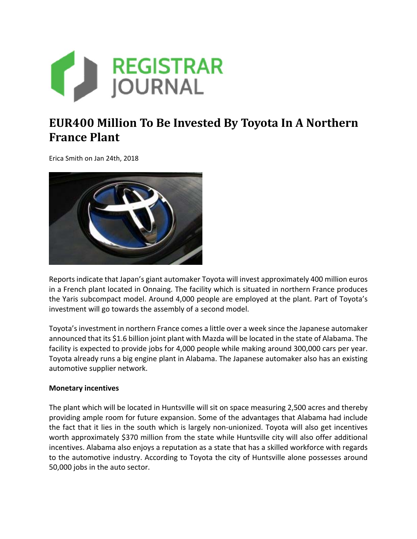

## **EUR400 Million To Be Invested By Toyota In A Northern France Plant**

Erica Smith on Jan 24th, 2018



Reports indicate that Japan's giant automaker Toyota will invest approximately 400 million euros in a French plant located in Onnaing. The facility which is situated in northern France produces the Yaris subcompact model. Around 4,000 people are employed at the plant. Part of Toyota's investment will go towards the assembly of a second model.

Toyota's investment in northern France comes a little over a week since the Japanese automaker announced that its \$1.6 billion joint plant with Mazda will be located in the state of Alabama. The facility is expected to provide jobs for 4,000 people while making around 300,000 cars per year. Toyota already runs a big engine plant in Alabama. The Japanese automaker also has an existing automotive supplier network.

## **Monetary incentives**

The plant which will be located in Huntsville will sit on space measuring 2,500 acres and thereby providing ample room for future expansion. Some of the advantages that Alabama had include the fact that it lies in the south which is largely non-unionized. Toyota will also get incentives worth approximately \$370 million from the state while Huntsville city will also offer additional incentives. Alabama also enjoys a reputation as a state that has a skilled workforce with regards to the automotive industry. According to Toyota the city of Huntsville alone possesses around 50,000 jobs in the auto sector.